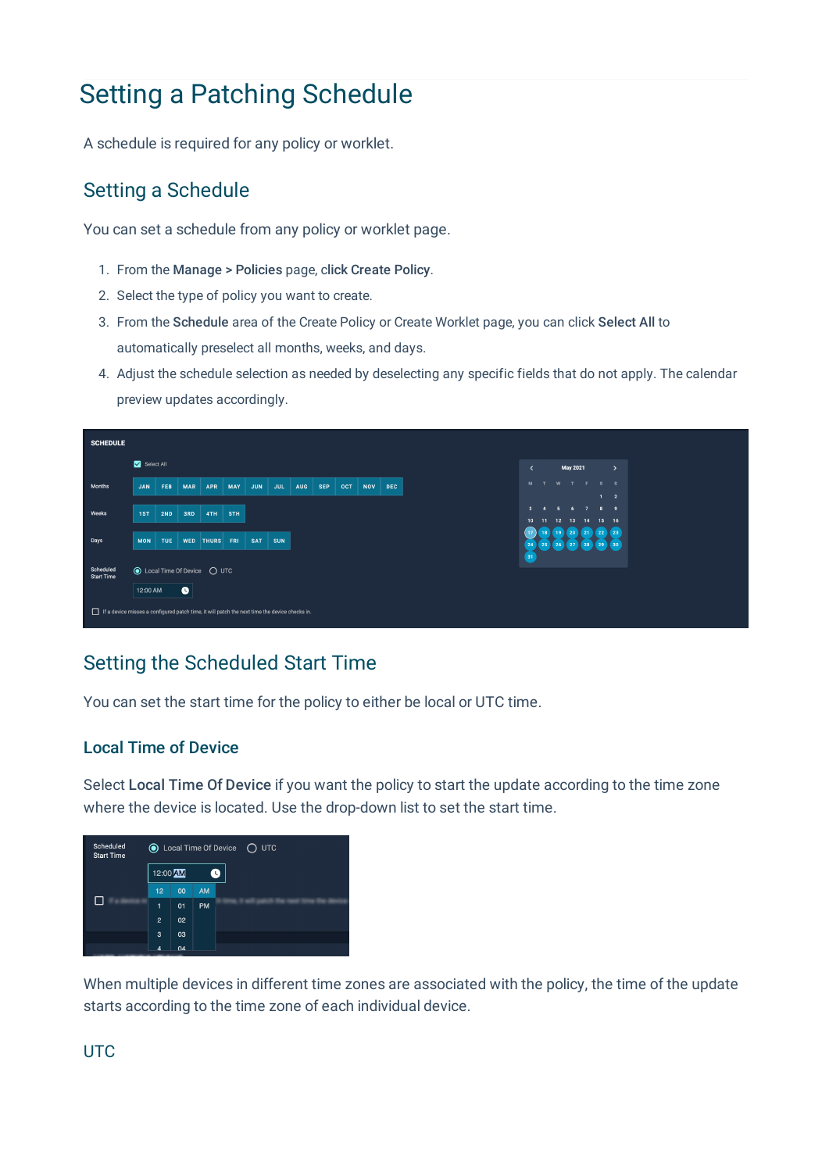# Setting a Patching Schedule

A schedule is required for any policy or worklet.

## Setting a Schedule

You can set a schedule from any policy or worklet page.

- 1. From the Manage > Policies page, click Create Policy.
- 2. Select the type of policy you want to create.
- 3. From the Schedule area of the Create Policy or Create Worklet page, you can click Select All to automatically preselect all months, weeks, and days.
- 4. Adjust the schedule selection as needed by deselecting any specific fields that do not apply. The calendar preview updates accordingly.



## Setting the Scheduled Start Time

You can set the start time for the policy to either be local or UTC time.

### Local Time of Device

Select Local Time Of Device if you want the policy to start the update according to the time zone where the device is located. Use the drop-down list to set the start time.



When multiple devices in different time zones are associated with the policy, the time of the update starts according to the time zone of each individual device.

### **UTC**